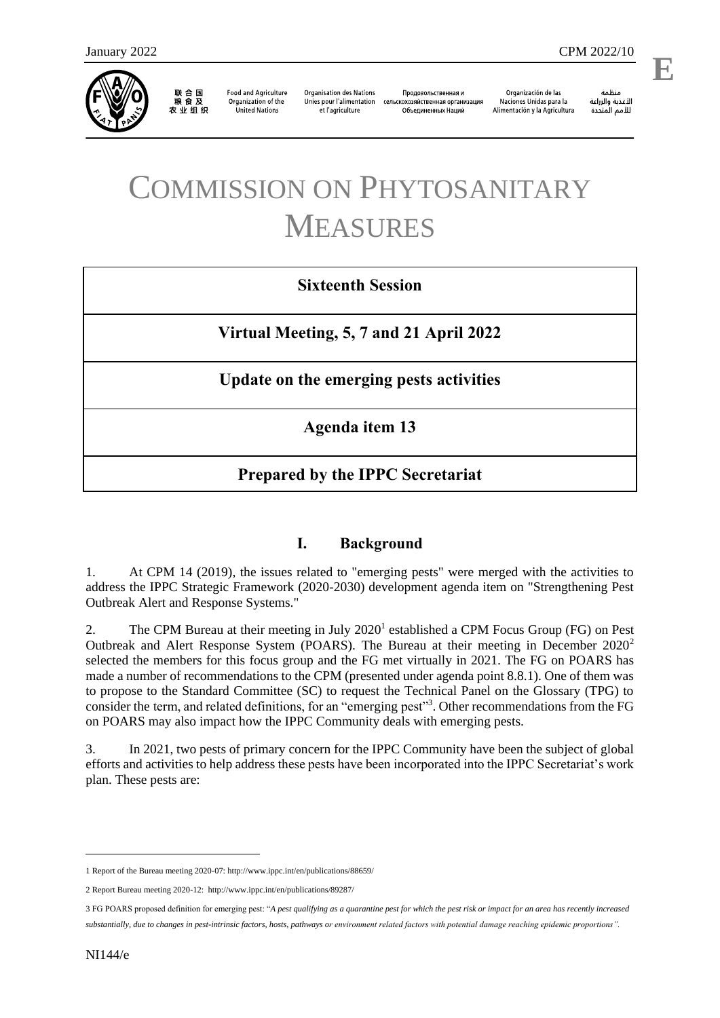

联合国<br>粮食及 农业组织

**Food and Agriculture** Organization of the **United Nations** 

**Organisation des Nations** Unies pour l'alimentation et l'agriculture

Продовольственная и сельскохозяйственная организация Объелиненных Наций

Organización de las Naciones Unidas para la Alimentación y la Agricultura

منظمة الأغذية والزراعة للأمم المتحدة

l,

# COMMISSION ON PHYTOSANITARY MEASURES

## **Sixteenth Session**

**Virtual Meeting, 5, 7 and 21 April 2022**

**Update on the emerging pests activities**

**Agenda item 13**

# **Prepared by the IPPC Secretariat**

### **I. Background**

1. At CPM 14 (2019), the issues related to "emerging pests" were merged with the activities to address the IPPC Strategic Framework (2020-2030) development agenda item on "Strengthening Pest Outbreak Alert and Response Systems."

2. The CPM Bureau at their meeting in July 2020<sup>1</sup> established a CPM Focus Group (FG) on Pest Outbreak and Alert Response System (POARS). The Bureau at their meeting in December 2020<sup>2</sup> selected the members for this focus group and the FG met virtually in 2021. The FG on POARS has made a number of recommendations to the CPM (presented under agenda point 8.8.1). One of them was to propose to the Standard Committee (SC) to request the Technical Panel on the Glossary (TPG) to consider the term, and related definitions, for an "emerging pest"<sup>3</sup>. Other recommendations from the FG on POARS may also impact how the IPPC Community deals with emerging pests.

3. In 2021, two pests of primary concern for the IPPC Community have been the subject of global efforts and activities to help address these pests have been incorporated into the IPPC Secretariat's work plan. These pests are:

-

<sup>1</sup> Report of the Bureau meeting 2020-07[: http://www.ippc.int/en/publications/88659/](http://www.ippc.int/en/publications/88659/)

<sup>2</sup> Report Bureau meeting 2020-12:<http://www.ippc.int/en/publications/89287/>

<sup>3</sup> FG POARS proposed definition for emerging pest: "*A pest qualifying as a quarantine pest for which the pest risk or impact for an area has recently increased substantially, due to changes in pest-intrinsic factors, hosts, pathways or environment related factors with potential damage reaching epidemic proportions".*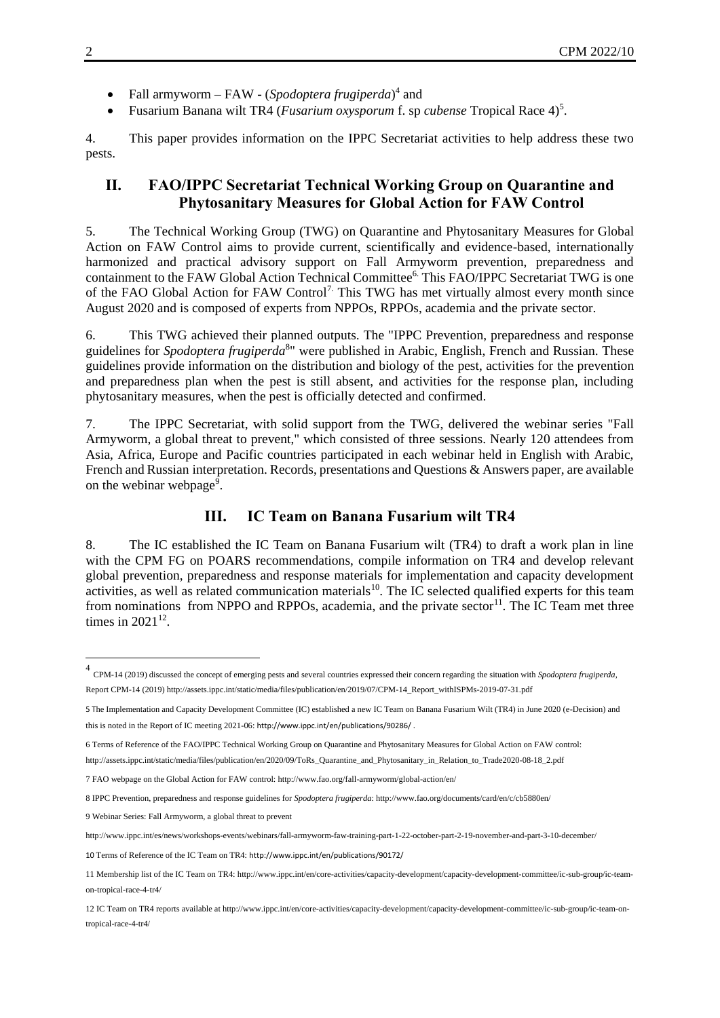- Fall armyworm FAW (*Spodoptera frugiperda*)<sup>4</sup> and
- Fusarium Banana wilt TR4 (*Fusarium oxysporum* f. sp *cubense* Tropical Race 4)<sup>5</sup> .

4. This paper provides information on the IPPC Secretariat activities to help address these two pests.

#### **II. FAO/IPPC Secretariat Technical Working Group on Quarantine and Phytosanitary Measures for Global Action for FAW Control**

5. The Technical Working Group (TWG) on Quarantine and Phytosanitary Measures for Global Action on FAW Control aims to provide current, scientifically and evidence-based, internationally harmonized and practical advisory support on Fall Armyworm prevention, preparedness and containment to the FAW Global Action Technical Committee<sup>6</sup>. This FAO/IPPC Secretariat TWG is one of the FAO Global Action for FAW Control<sup>7.</sup> This TWG has met virtually almost every month since August 2020 and is composed of experts from NPPOs, RPPOs, academia and the private sector.

6. This TWG achieved their planned outputs. The "IPPC Prevention, preparedness and response guidelines for *Spodoptera frugiperda*<sup>8</sup>" were published in Arabic, English, French and Russian. These guidelines provide information on the distribution and biology of the pest, activities for the prevention and preparedness plan when the pest is still absent, and activities for the response plan, including phytosanitary measures, when the pest is officially detected and confirmed.

7. The IPPC Secretariat, with solid support from the TWG, delivered the webinar series "Fall Armyworm, a global threat to prevent," which consisted of three sessions. Nearly 120 attendees from Asia, Africa, Europe and Pacific countries participated in each webinar held in English with Arabic, French and Russian interpretation. Records, presentations and Questions & Answers paper, are available on the webinar webpage<sup>9</sup>.

#### **III. IC Team on Banana Fusarium wilt TR4**

8. The IC established the IC Team on Banana Fusarium wilt (TR4) to draft a work plan in line with the CPM FG on POARS recommendations, compile information on TR4 and develop relevant global prevention, preparedness and response materials for implementation and capacity development activities, as well as related communication materials<sup>10</sup>. The IC selected qualified experts for this team from nominations from NPPO and RPPOs, academia, and the private sector<sup>11</sup>. The IC Team met three times in  $2021^{12}$ .

 4 CPM-14 (2019) discussed the concept of emerging pests and several countries expressed their concern regarding the situation with *Spodoptera frugiperda*, Report CPM-14 (2019[\) http://assets.ippc.int/static/media/files/publication/en/2019/07/CPM-14\\_Report\\_withISPMs-2019-07-31.pdf](http://assets.ippc.int/static/media/files/publication/en/2019/07/CPM-14_Report_withISPMs-2019-07-31.pdf)

<sup>5</sup> The Implementation and Capacity Development Committee (IC) established a new IC Team on Banana Fusarium Wilt (TR4) in June 2020 (e-Decision) and this is noted in the Report of IC meeting 2021-06: <http://www.ippc.int/en/publications/90286/> .

<sup>6</sup> Terms of Reference of the FAO/IPPC Technical Working Group on Quarantine and Phytosanitary Measures for Global Action on FAW control:

[http://assets.ippc.int/static/media/files/publication/en/2020/09/ToRs\\_Quarantine\\_and\\_Phytosanitary\\_in\\_Relation\\_to\\_Trade2020-08-18\\_2.pdf](http://assets.ippc.int/static/media/files/publication/en/2020/09/ToRs_Quarantine_and_Phytosanitary_in_Relation_to_Trade2020-08-18_2.pdf)

<sup>7</sup> FAO webpage on the Global Action for FAW control: http://www.fao.org/fall-armyworm/global-action/en/

<sup>8</sup> IPPC Prevention, preparedness and response guidelines for *Spodoptera frugiperda*[: http://www.fao.org/documents/card/en/c/cb5880en/](http://www.fao.org/documents/card/en/c/cb5880en/)

<sup>9</sup> Webinar Series: Fall Armyworm, a global threat to prevent

<http://www.ippc.int/es/news/workshops-events/webinars/fall-armyworm-faw-training-part-1-22-october-part-2-19-november-and-part-3-10-december/>

<sup>10</sup> Terms of Reference of the IC Team on TR4: <http://www.ippc.int/en/publications/90172/>

<sup>11</sup> Membership list of the IC Team on TR4[: http://www.ippc.int/en/core-activities/capacity-development/capacity-development-committee/ic-sub-group/ic-team](http://www.ippc.int/en/core-activities/capacity-development/capacity-development-committee/ic-sub-group/ic-team-on-tropical-race-4-tr4/)[on-tropical-race-4-tr4/](http://www.ippc.int/en/core-activities/capacity-development/capacity-development-committee/ic-sub-group/ic-team-on-tropical-race-4-tr4/)

<sup>12</sup> IC Team on TR4 reports available a[t http://www.ippc.int/en/core-activities/capacity-development/capacity-development-committee/ic-sub-group/ic-team-on](http://www.ippc.int/en/core-activities/capacity-development/capacity-development-committee/ic-sub-group/ic-team-on-tropical-race-4-tr4/)[tropical-race-4-tr4/](http://www.ippc.int/en/core-activities/capacity-development/capacity-development-committee/ic-sub-group/ic-team-on-tropical-race-4-tr4/)